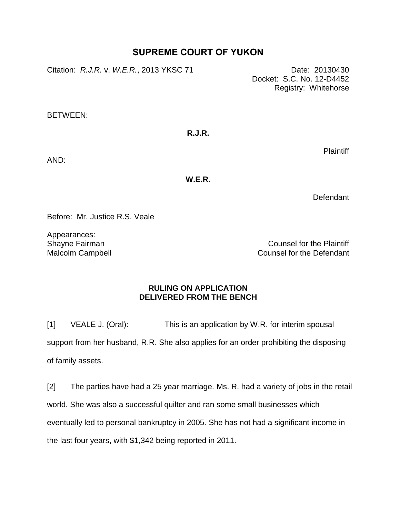## **SUPREME COURT OF YUKON**

Citation: *R.J.R. v. W.E.R.*, 2013 YKSC 71 Date: 20130430

Docket: S.C. No. 12-D4452 Registry: Whitehorse

BETWEEN:

**R.J.R.**

Plaintiff

AND:

**W.E.R.**

**Defendant** 

Before: Mr. Justice R.S. Veale

Appearances: Shayne Fairman Malcolm Campbell

Counsel for the Plaintiff Counsel for the Defendant

## **RULING ON APPLICATION DELIVERED FROM THE BENCH**

[1] VEALE J. (Oral): This is an application by W.R. for interim spousal support from her husband, R.R. She also applies for an order prohibiting the disposing of family assets.

[2] The parties have had a 25 year marriage. Ms. R. had a variety of jobs in the retail world. She was also a successful quilter and ran some small businesses which eventually led to personal bankruptcy in 2005. She has not had a significant income in the last four years, with \$1,342 being reported in 2011.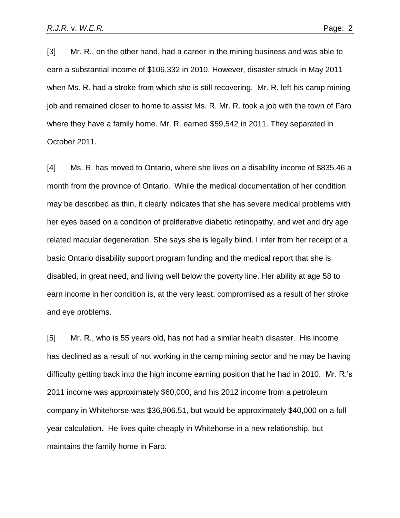[3] Mr. R., on the other hand, had a career in the mining business and was able to earn a substantial income of \$106,332 in 2010. However, disaster struck in May 2011 when Ms. R. had a stroke from which she is still recovering. Mr. R. left his camp mining job and remained closer to home to assist Ms. R. Mr. R. took a job with the town of Faro where they have a family home. Mr. R. earned \$59,542 in 2011. They separated in October 2011.

[4] Ms. R. has moved to Ontario, where she lives on a disability income of \$835.46 a month from the province of Ontario. While the medical documentation of her condition may be described as thin, it clearly indicates that she has severe medical problems with her eyes based on a condition of proliferative diabetic retinopathy, and wet and dry age related macular degeneration. She says she is legally blind. I infer from her receipt of a basic Ontario disability support program funding and the medical report that she is disabled, in great need, and living well below the poverty line. Her ability at age 58 to earn income in her condition is, at the very least, compromised as a result of her stroke and eye problems.

[5] Mr. R., who is 55 years old, has not had a similar health disaster. His income has declined as a result of not working in the camp mining sector and he may be having difficulty getting back into the high income earning position that he had in 2010. Mr. R.'s 2011 income was approximately \$60,000, and his 2012 income from a petroleum company in Whitehorse was \$36,906.51, but would be approximately \$40,000 on a full year calculation. He lives quite cheaply in Whitehorse in a new relationship, but maintains the family home in Faro.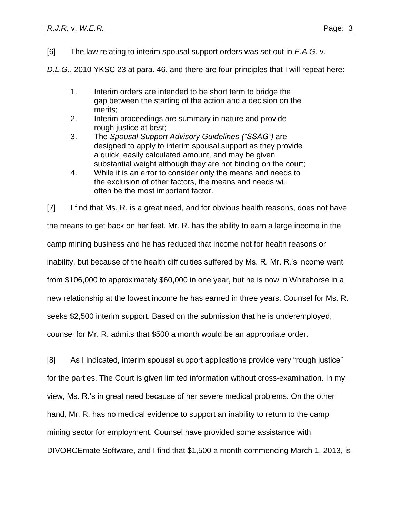[6] The law relating to interim spousal support orders was set out in *E.A.G.* v.

*D.L.G.*, 2010 YKSC 23 at para. 46, and there are four principles that I will repeat here:

- 1. Interim orders are intended to be short term to bridge the gap between the starting of the action and a decision on the merits;
- 2. Interim proceedings are summary in nature and provide rough justice at best;
- 3. The *Spousal Support Advisory Guidelines ("SSAG")* are designed to apply to interim spousal support as they provide a quick, easily calculated amount, and may be given substantial weight although they are not binding on the court;
- 4. While it is an error to consider only the means and needs to the exclusion of other factors, the means and needs will often be the most important factor.

[7] I find that Ms. R. is a great need, and for obvious health reasons, does not have the means to get back on her feet. Mr. R. has the ability to earn a large income in the camp mining business and he has reduced that income not for health reasons or inability, but because of the health difficulties suffered by Ms. R. Mr. R.'s income went from \$106,000 to approximately \$60,000 in one year, but he is now in Whitehorse in a new relationship at the lowest income he has earned in three years. Counsel for Ms. R. seeks \$2,500 interim support. Based on the submission that he is underemployed, counsel for Mr. R. admits that \$500 a month would be an appropriate order.

[8] As I indicated, interim spousal support applications provide very "rough justice" for the parties. The Court is given limited information without cross-examination. In my view, Ms. R.'s in great need because of her severe medical problems. On the other hand, Mr. R. has no medical evidence to support an inability to return to the camp mining sector for employment. Counsel have provided some assistance with DIVORCEmate Software, and I find that \$1,500 a month commencing March 1, 2013, is